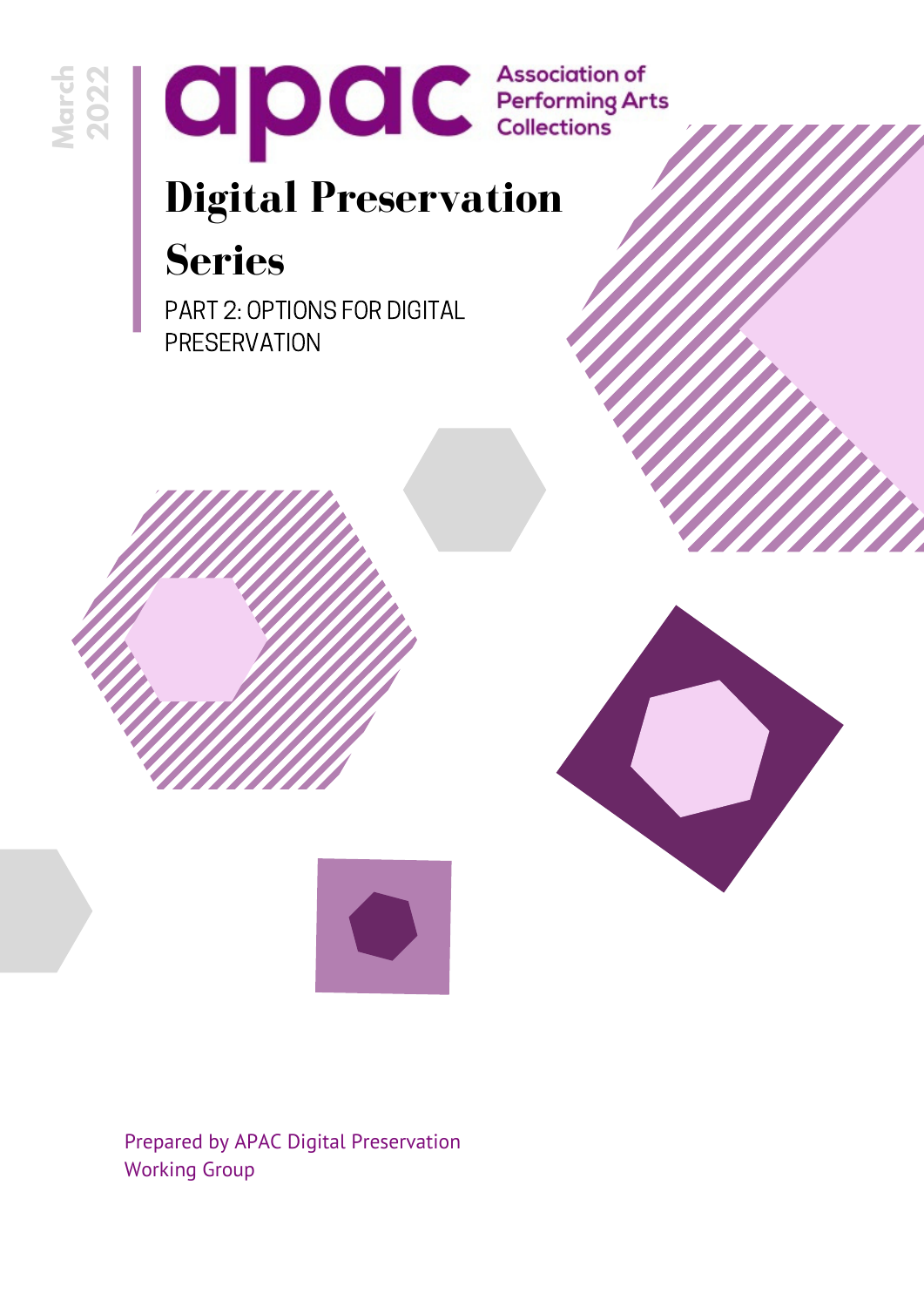



## **Digital Preservation Series**

PART 2: OPTIONS FOR DIGITAL **PRESERVATION** 





Prepared by APAC Digital Preservation Working Group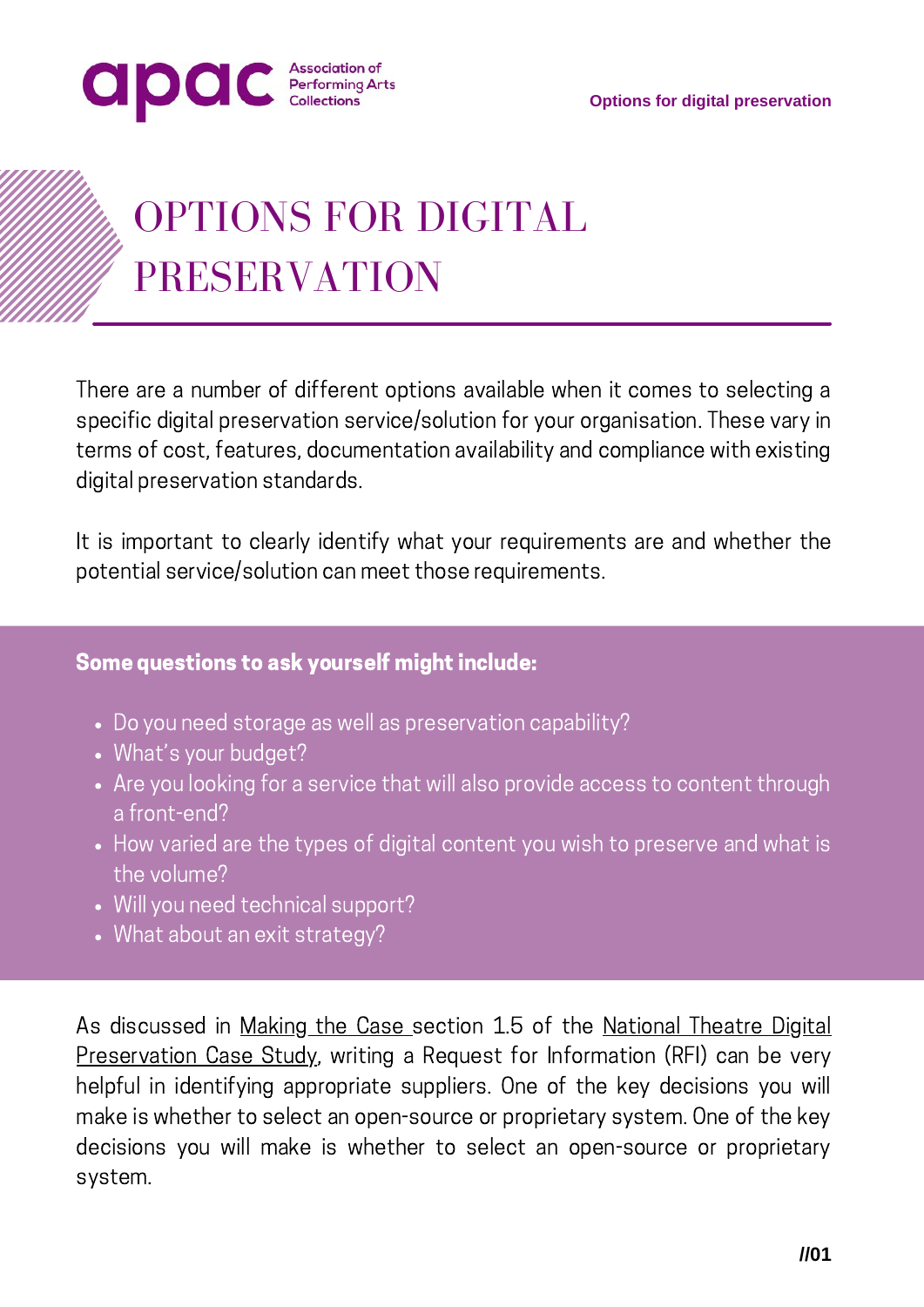



# OPTIONS FOR DIGITAL PRESERVATION

There are a number of different options available when it comes to selecting a specific digital preservation service/solution for your organisation. These vary in terms of cost, features, documentation availability and compliance with existing digital preservation standards.

It is important to clearly identify what your requirements are and whether the potential service/solution can meet those requirements.

#### Some questions to ask yourself might include:

- Do you need storage as well as preservation capability?
- What's your budget?
- Are you looking for a service that will also provide access to content through a front-end?
- How varied are the types of digital content you wish to preserve and what is the volume?
- Will you need technical support?
- What about an exit strategy?

As discussed in [Making](https://performingartscollections.org.uk/resources/digital-preservation-series-part-1-making-the-case/) the Case section 1.5 of the National Theatre Digital [Preservation](https://performingartscollections.org.uk/wp-content/uploads/2021/11/National-Theatre-Digital-Preservation-Case-study.pdf) Case Study, writing a Request for Information (RFI) can be very helpful in identifying appropriate suppliers. One of the key decisions you will make is whether to select an open-source or proprietary system. One of the key decisions you will make is whether to select an open-source or proprietary system.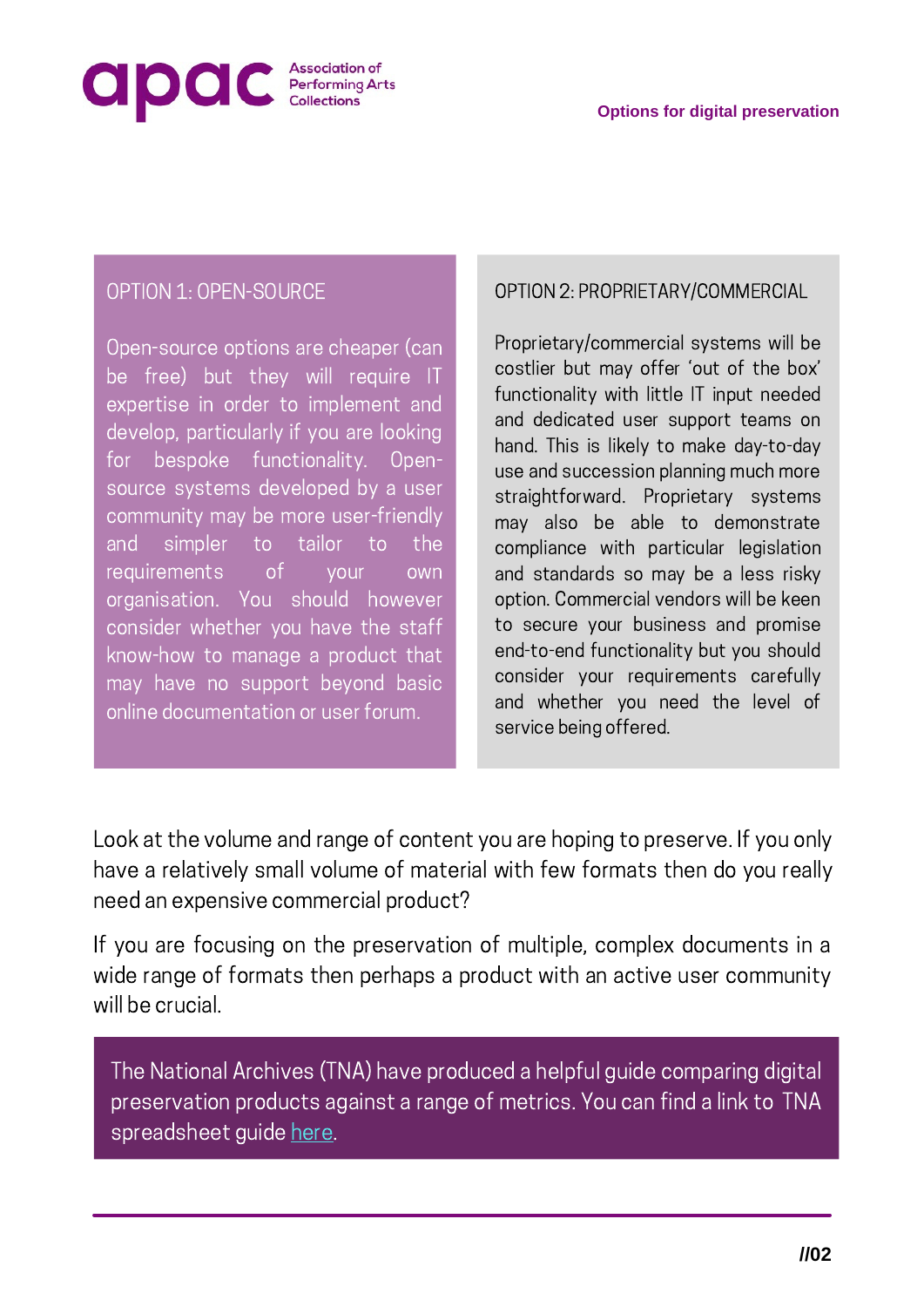

#### OPTION 1: OPEN-SOURCE

Open-source options are cheaper (can be free) but they will require IT expertise in order to implement and develop, particularly if you are looking for bespoke functionality. Opensource systems developed by a user community may be more user-friendly and simpler to tailor to the requirements of your own organisation. You should however consider whether you have the staff know-how to manage a product that may have no support beyond basic online documentation or user forum.

#### OPTION 2: PROPRIETARY/COMMERCIAL

Proprietary/commercial systems will be costlier but may offer 'out of the box' functionality with little IT input needed and dedicated user support teams on hand. This is likely to make day-to-day use and succession planning much more straightforward. Proprietary systems may also be able to demonstrate compliance with particular legislation and standards so may be a less risky option. Commercial vendors will be keen to secure your business and promise end-to-end functionality but you should consider your requirements carefully and whether you need the level of service being offered.

Look at the volume and range of content you are hoping to preserve. If you only have a relatively small volume of material with few formats then do you really need an expensive commercial product?

If you are focusing on the preservation of multiple, complex documents in a wide range of formats then perhaps a product with an active user community will be crucial.

The National Archives (TNA) have produced a helpful guide comparing digital preservation products against a range of metrics. You can find a link to TNA spreadsheet guide [here.](https://docs.google.com/spreadsheets/d/1gG-CcFtBIAkiVLm-KNzBThpuEXgoo2fm/edit#gid=679842419)